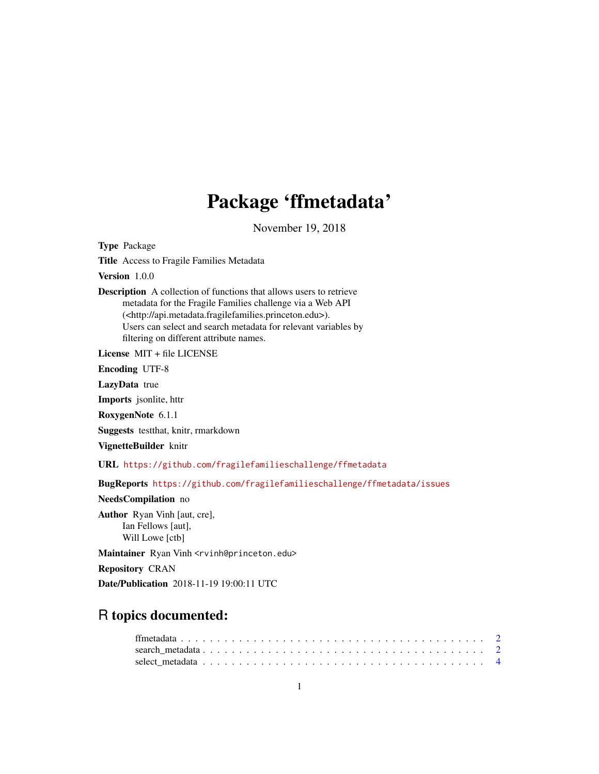## Package 'ffmetadata'

November 19, 2018

Type Package

Title Access to Fragile Families Metadata

Version 1.0.0

Description A collection of functions that allows users to retrieve metadata for the Fragile Families challenge via a Web API (<http://api.metadata.fragilefamilies.princeton.edu>). Users can select and search metadata for relevant variables by filtering on different attribute names.

License MIT + file LICENSE

Encoding UTF-8

LazyData true

Imports jsonlite, httr

RoxygenNote 6.1.1

Suggests testthat, knitr, rmarkdown

VignetteBuilder knitr

URL <https://github.com/fragilefamilieschallenge/ffmetadata>

BugReports <https://github.com/fragilefamilieschallenge/ffmetadata/issues>

NeedsCompilation no

Author Ryan Vinh [aut, cre], Ian Fellows [aut], Will Lowe [ctb]

Maintainer Ryan Vinh <rvinh@princeton.edu>

Repository CRAN

Date/Publication 2018-11-19 19:00:11 UTC

### R topics documented: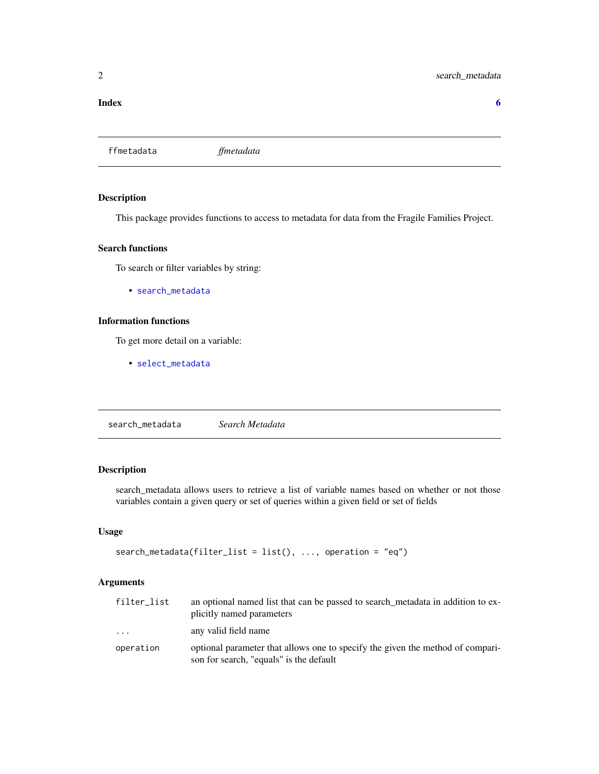#### <span id="page-1-0"></span>**Index** [6](#page-5-0) **6**

ffmetadata *ffmetadata*

#### Description

This package provides functions to access to metadata for data from the Fragile Families Project.

#### Search functions

To search or filter variables by string:

• [search\\_metadata](#page-1-1)

#### Information functions

To get more detail on a variable:

• [select\\_metadata](#page-3-1)

<span id="page-1-1"></span>search\_metadata *Search Metadata*

#### Description

search\_metadata allows users to retrieve a list of variable names based on whether or not those variables contain a given query or set of queries within a given field or set of fields

#### Usage

```
search_metadata(filter\_list = list(), ..., operation = "eq")
```
#### Arguments

| filter_list | an optional named list that can be passed to search metadata in addition to ex-<br>plicitly named parameters              |
|-------------|---------------------------------------------------------------------------------------------------------------------------|
| $\cdot$     | any valid field name                                                                                                      |
| operation   | optional parameter that allows one to specify the given the method of compari-<br>son for search, "equals" is the default |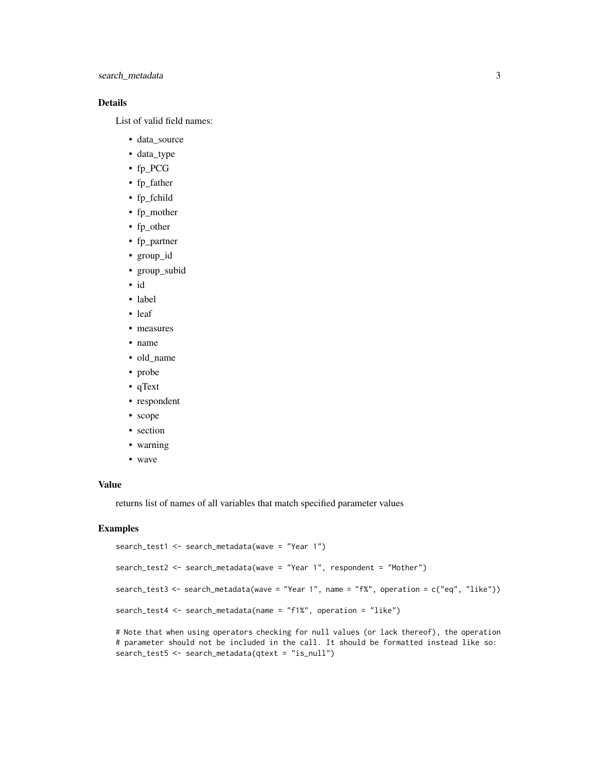search\_metadata 3

#### Details

List of valid field names:

- data\_source
- data\_type
- fp\_PCG
- fp\_father
- fp\_fchild
- fp\_mother
- fp\_other
- fp\_partner
- group\_id
- group\_subid
- id
- label
- leaf
- measures
- name
- old\_name
- probe
- qText
- respondent
- scope
- section
- warning
- wave

#### Value

returns list of names of all variables that match specified parameter values

search\_test5 <- search\_metadata(qtext = "is\_null")

#### Examples

```
search_test1 <- search_metadata(wave = "Year 1")
search_test2 <- search_metadata(wave = "Year 1", respondent = "Mother")
search_test3 <- search_metadata(wave = "Year 1", name = "f%", operation = c("eq", "like"))
search_test4 <- search_metadata(name = "f1%", operation = "like")
# Note that when using operators checking for null values (or lack thereof), the operation
# parameter should not be included in the call. It should be formatted instead like so:
```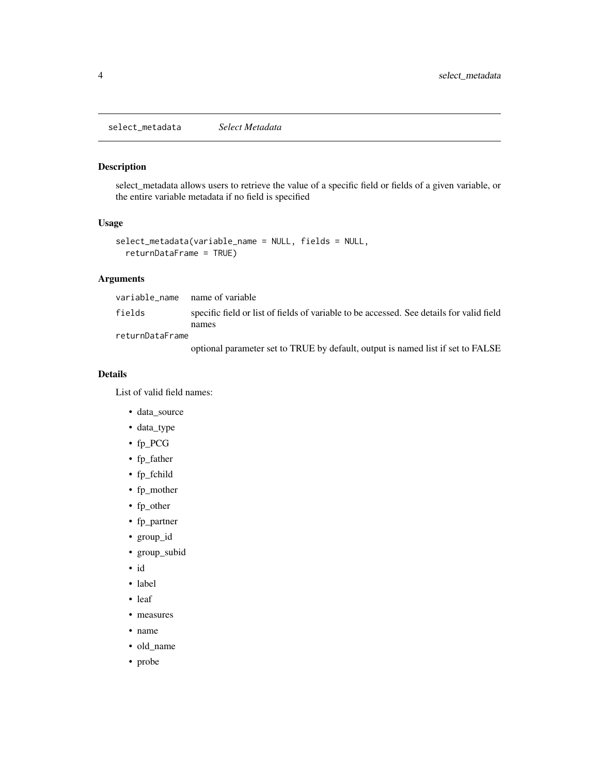<span id="page-3-1"></span><span id="page-3-0"></span>select\_metadata *Select Metadata*

#### Description

select\_metadata allows users to retrieve the value of a specific field or fields of a given variable, or the entire variable metadata if no field is specified

#### Usage

```
select_metadata(variable_name = NULL, fields = NULL,
 returnDataFrame = TRUE)
```
#### Arguments

| fields          | specific field or list of fields of variable to be accessed. See details for valid field |
|-----------------|------------------------------------------------------------------------------------------|
|                 | names                                                                                    |
| returnDataFrame |                                                                                          |
|                 | optional parameter set to TRUE by default, output is named list if set to FALSE          |

#### Details

List of valid field names:

- data\_source
- data\_type
- fp\_PCG
- fp\_father
- fp\_fchild
- fp\_mother
- fp\_other
- fp\_partner
- group\_id
- group\_subid
- id
- label
- leaf
- measures
- name
- old\_name
- probe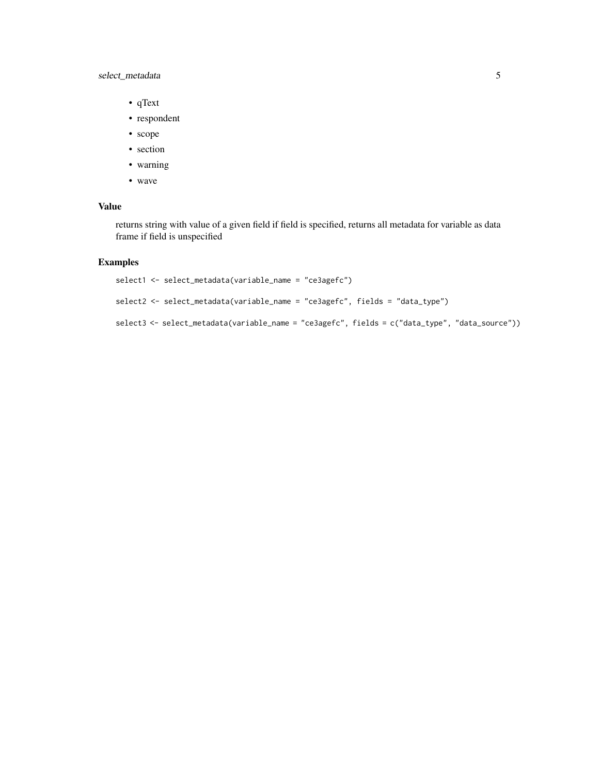#### select\_metadata 5

- qText
- respondent
- scope
- section
- warning
- wave

#### Value

returns string with value of a given field if field is specified, returns all metadata for variable as data frame if field is unspecified

#### Examples

```
select1 <- select_metadata(variable_name = "ce3agefc")
select2 <- select_metadata(variable_name = "ce3agefc", fields = "data_type")
select3 <- select_metadata(variable_name = "ce3agefc", fields = c("data_type", "data_source"))
```